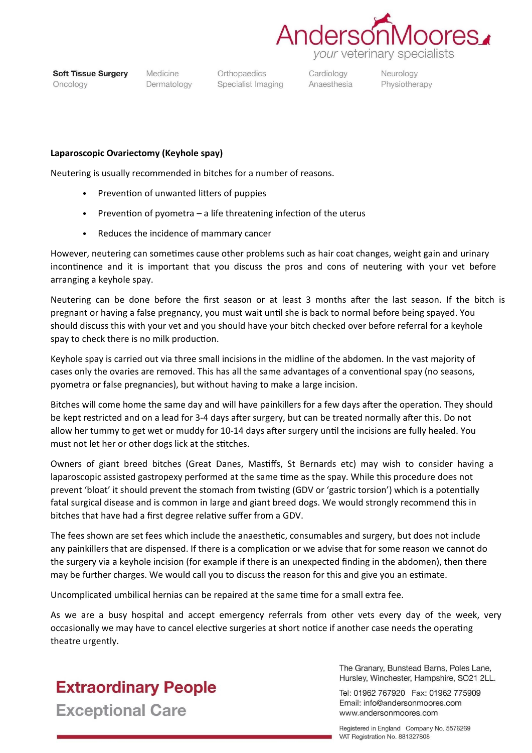

**Soft Tissue Surgery** Oncology

Medicine Dermatology

Orthopaedics Specialist Imaging Cardiology Anaesthesia Neurology Physiotherapy

## **Laparoscopic Ovariectomy (Keyhole spay)**

Neutering is usually recommended in bitches for a number of reasons.

- Prevention of unwanted litters of puppies
- Prevention of pyometra a life threatening infection of the uterus
- Reduces the incidence of mammary cancer

However, neutering can sometimes cause other problems such as hair coat changes, weight gain and urinary incontinence and it is important that you discuss the pros and cons of neutering with your vet before arranging a keyhole spay.

Neutering can be done before the first season or at least 3 months after the last season. If the bitch is pregnant or having a false pregnancy, you must wait until she is back to normal before being spayed. You should discuss this with your vet and you should have your bitch checked over before referral for a keyhole spay to check there is no milk production.

Keyhole spay is carried out via three small incisions in the midline of the abdomen. In the vast majority of cases only the ovaries are removed. This has all the same advantages of a conventional spay (no seasons, pyometra or false pregnancies), but without having to make a large incision.

Bitches will come home the same day and will have painkillers for a few days after the operation. They should be kept restricted and on a lead for 3-4 days after surgery, but can be treated normally after this. Do not allow her tummy to get wet or muddy for 10-14 days after surgery until the incisions are fully healed. You must not let her or other dogs lick at the stitches.

Owners of giant breed bitches (Great Danes, Mastiffs, St Bernards etc) may wish to consider having a laparoscopic assisted gastropexy performed at the same time as the spay. While this procedure does not prevent 'bloat' it should prevent the stomach from twisting (GDV or 'gastric torsion') which is a potentially fatal surgical disease and is common in large and giant breed dogs. We would strongly recommend this in bitches that have had a first degree relative suffer from a GDV.

The fees shown are set fees which include the anaesthetic, consumables and surgery, but does not include any painkillers that are dispensed. If there is a complication or we advise that for some reason we cannot do the surgery via a keyhole incision (for example if there is an unexpected finding in the abdomen), then there may be further charges. We would call you to discuss the reason for this and give you an estimate.

Uncomplicated umbilical hernias can be repaired at the same time for a small extra fee.

As we are a busy hospital and accept emergency referrals from other vets every day of the week, very occasionally we may have to cancel elective surgeries at short notice if another case needs the operating theatre urgently.



The Granary, Bunstead Barns, Poles Lane. Hursley, Winchester, Hampshire, SO21 2LL.

Tel: 01962 767920 Fax: 01962 775909 Email: info@andersonmoores.com www.andersonmoores.com

Registered in England Company No. 5576269 VAT Registration No. 881327808